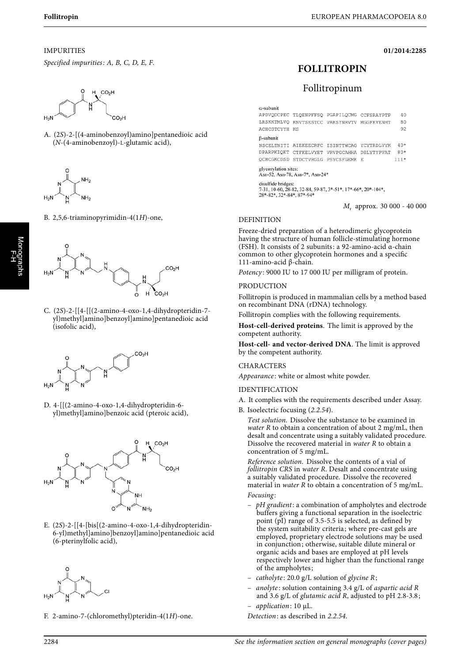**01/2014:2285**

## IMPURITIES

Specified impurities: A, B, C, D, E, F.



A. (2S)-2-[(4-aminobenzoyl)amino]pentanedioic acid (N-(4-aminobenzoyl)-L-glutamic acid),



B. 2,5,6-triaminopyrimidin-4(1H)-one,



C. (2S)-2-[[4-[[(2-amino-4-oxo-1,4-dihydropteridin-7 yl)methyl]amino]benzoyl]amino]pentanedioic acid (isofolic acid),



D. 4-[[(2-amino-4-oxo-1,4-dihydropteridin-6 yl)methyl]amino]benzoic acid (pteroic acid),



E. (2S)-2-[[4-[bis[(2-amino-4-oxo-1,4-dihydropteridin-6-yl)methyl]amino]benzoyl]amino]pentanedioic acid (6-pterinylfolic acid),



F. 2-amino-7-(chloromethyl)pteridin-4(1H)-one.

# **FOLLITROPIN**

## Follitropinum

 $\alpha$ -subunit APDVQDCPEC TLQENPFFSQ PGAPILQCMG CCFSRAYPTP 40 LRSKKTMLVQ KNVTSESTCC VAKSYNRVTV MGGFKVENHT 80 ACHCSTCYYH KS 92 **B-subunit** NSCELTNITI AIEKEECRFC ISINTTWCAG YCYTRDLVYK 40\* DPARPKIQKT CTFKELVYET VRVPGCAHHA DSLYTYPVAT 80\* OCHCGKCDSD STDCTVRGLG PSYCSFGEMK E  $111*$ glycosylation sites:<br>Asn-52, Asn-78, Asn-7\*, Asn-24\* disulfide bridges: 7-31, 10-60, 28-82, 32-84, 59-87, 3\*-51\*, 17\*-66\*, 20\*-104\*, 28\*-82\*, 32\*-84\*, 87\*-94\*

Mr approx. 30 000 - 40 000

## DEFINITION

Freeze-dried preparation of a heterodimeric glycoprotein having the structure of human follicle-stimulating hormone (FSH). It consists of 2 subunits: a 92-amino-acid α-chain common to other glycoprotein hormones and a specific 111-amino-acid β-chain.

Potency: 9000 IU to 17 000 IU per milligram of protein.

#### PRODUCTION

Follitropin is produced in mammalian cells by a method based on recombinant DNA (rDNA) technology.

Follitropin complies with the following requirements.

**Host-cell-derived proteins**. The limit is approved by the competent authority.

**Host-cell- and vector-derived DNA**. The limit is approved by the competent authority.

#### CHARACTERS

Appearance: white or almost white powder.

#### IDENTIFICATION

- A. It complies with the requirements described under Assay.
- B. Isoelectric focusing (2.2.54).

Test solution. Dissolve the substance to be examined in water R to obtain a concentration of about 2 mg/mL, then desalt and concentrate using a suitably validated procedure. Dissolve the recovered material in water R to obtain a concentration of 5 mg/mL.

Reference solution. Dissolve the contents of a vial of follitropin CRS in water R. Desalt and concentrate using a suitably validated procedure. Dissolve the recovered material in *water*  $R$  to obtain a concentration of 5 mg/mL. Focusing :

- pH gradient: a combination of ampholytes and electrode buffers giving a functional separation in the isoelectric point (pI) range of 3.5-5.5 is selected, as defined by the system suitability criteria; where pre-cast gels are employed, proprietary electrode solutions may be used in conjunction; otherwise, suitable dilute mineral or organic acids and bases are employed at pH levels respectively lower and higher than the functional range of the ampholytes;
- catholyte: 20.0  $g/L$  solution of glycine R;
- anolyte : solution containing 3.4 g/L of aspartic acid R and 3.6 g/L of glutamic acid R, adjusted to pH 2.8-3.8;
- application: 10 µL.
- Detection: as described in 2.2.54.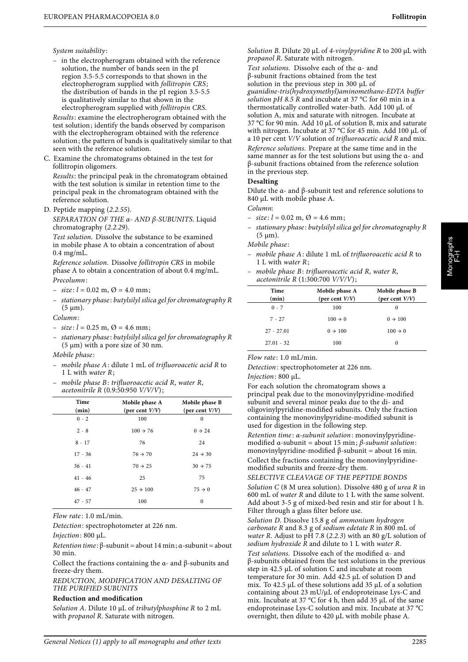## System suitability:

– in the electropherogram obtained with the reference solution, the number of bands seen in the pI region 3.5-5.5 corresponds to that shown in the electropherogram supplied with follitropin CRS; the distribution of bands in the pI region 3.5-5.5 is qualitatively similar to that shown in the electropherogram supplied with follitropin CRS.

Results: examine the electropherogram obtained with the test solution; identify the bands observed by comparison with the electropherogram obtained with the reference solution; the pattern of bands is qualitatively similar to that seen with the reference solution.

C. Examine the chromatograms obtained in the test for follitropin oligomers.

Results: the principal peak in the chromatogram obtained with the test solution is similar in retention time to the principal peak in the chromatogram obtained with the reference solution.

D. Peptide mapping (2.2.55).

SEPARATION OF THE  $\alpha$ - AND  $\beta$ -SUBUNITS. Liquid chromatography (2.2.29).

Test solution. Dissolve the substance to be examined in mobile phase A to obtain a concentration of about 0.4 mg/mL.

Reference solution. Dissolve follitropin CRS in mobile phase A to obtain a concentration of about 0.4 mg/mL. Precolumn:

- $-$  size;  $l = 0.02$  m,  $\varnothing = 4.0$  mm;
- stationary phase : butylsilyl silica gel for chromatography R  $(5 \mu m)$ .

Column:

- $-$  size:  $l = 0.25$  m,  $\varnothing = 4.6$  mm;
- stationary phase : butylsilyl silica gel for chromatography R (5  $\mu$ m) with a pore size of 30 nm.

Mobile phase :

- mobile phase A: dilute 1 mL of trifluoroacetic acid R to 1 L with water R;
- mobile phase B: trifluoroacetic acid R, water R, acetonitrile R (0.9:50:950 V/V/V);

| Time<br>(min) | Mobile phase A<br>(per cent $V/V$ ) | Mobile phase B<br>(per cent $V/V$ ) |
|---------------|-------------------------------------|-------------------------------------|
| $0 - 2$       | 100                                 | $\mathbf{0}$                        |
| $2 - 8$       | $100 \div 76$                       | $0 \rightarrow 24$                  |
| $8 - 17$      | 76                                  | 24                                  |
| $17 - 36$     | $76 \div 70$                        | $24 \rightarrow 30$                 |
| $36 - 41$     | $70 \rightarrow 25$                 | $30 \rightarrow 75$                 |
| $41 - 46$     | 25                                  | 75                                  |
| $46 - 47$     | $25 \div 100$                       | $75 \rightarrow 0$                  |
| $47 - 57$     | 100                                 | $\mathbf{0}$                        |

Flow rate: 1.0 mL/min.

Detection: spectrophotometer at 226 nm.

Injection: 800 µL.

Retention time : β-subunit = about 14 min; α-subunit = about 30 min.

Collect the fractions containing the  $\alpha$ - and  $\beta$ -subunits and freeze-dry them.

REDUCTION, MODIFICATION AND DESALTING OF THE PURIFIED SUBUNITS

## **Reduction and modification**

Solution A. Dilute 10 µL of tributylphosphine R to 2 mL with *propanol R*. Saturate with nitrogen.

Solution B. Dilute 20  $\mu$ L of 4-vinylpyridine R to 200  $\mu$ L with propanol R. Saturate with nitrogen.

Test solutions. Dissolve each of the α- and β-subunit fractions obtained from the test solution in the previous step in 300 µL of guanidine-tris(hydroxymethyl)aminomethane-EDTA buffer solution pH 8.5 R and incubate at 37 °C for 60 min in a thermostatically controlled water-bath. Add 100 µL of solution A, mix and saturate with nitrogen. Incubate at 37 °C for 90 min. Add 10 µL of solution B, mix and saturate with nitrogen. Incubate at 37 °C for 45 min. Add 100 µL of a 10 per cent V/V solution of trifluoroacetic acid R and mix.

Reference solutions. Prepare at the same time and in the same manner as for the test solutions but using the α- and β-subunit fractions obtained from the reference solution in the previous step.

## **Desalting**

Dilute the α- and β-subunit test and reference solutions to 840 µL with mobile phase A.

Column:

- $-$  size:  $l = 0.02$  m,  $\varnothing = 4.6$  mm;
- stationary phase : butylsilyl silica gel for chromatography R  $(5 \mu m)$ .

Mobile phase :

– mobile phase A: dilute 1 mL of trifluoroacetic acid R to 1 L with water R; – mobile phase B: trifluoroacetic acid R, water R,

| <i>mobile phase D: trifuoroacelle acta K, water K,</i><br>acetonitrile $R(1:300:700 V/V/V);$ |                                     |                                     |  |
|----------------------------------------------------------------------------------------------|-------------------------------------|-------------------------------------|--|
| Time<br>(min)                                                                                | Mobile phase A<br>(per cent $V/V$ ) | Mobile phase B<br>(per cent $V/V$ ) |  |
| $0 - 7$                                                                                      | 100                                 | $\Omega$                            |  |
| $7 - 27$                                                                                     | $100 \rightarrow 0$                 | $0 \rightarrow 100$                 |  |
| $27 - 27.01$                                                                                 | $0 \rightarrow 100$                 | $100 \rightarrow 0$                 |  |
| $27.01 - 32$                                                                                 | 100                                 | 0                                   |  |

Flow rate: 1.0 mL/min.

Detection: spectrophotometer at 226 nm. Injection: 800 µL.

For each solution the chromatogram shows a principal peak due to the monovinylpyridine-modified subunit and several minor peaks due to the di- and oligovinylpyridine-modified subunits. Only the fraction containing the monovinylpyridine-modified subunit is used for digestion in the following step. Retention time: α-subunit solution: monovinylpyridinemodified α-subunit = about 15 min;  $β$ -subunit solution: monovinylpyridine-modified β-subunit = about 16 min. Collect the fractions containing the monovinylpyridine-

modified subunits and freeze-dry them. SELECTIVE CLEAVAGE OF THE PEPTIDE BONDS Solution C (8 M urea solution). Dissolve 480 g of urea R in 600 mL of water R and dilute to 1 L with the same solvent. Add about 3-5 g of mixed-bed resin and stir for about 1 h. Filter through a glass filter before use.

Solution D. Dissolve 15.8 g of ammonium hydrogen carbonate R and 8.3 g of sodium edetate R in 800 mL of water R. Adjust to pH 7.8 (2.2.3) with an 80 g/L solution of sodium hydroxide R and dilute to 1 L with water R.

Test solutions. Dissolve each of the modified α- and β-subunits obtained from the test solutions in the previous step in 42.5 µL of solution C and incubate at room temperature for 30 min. Add 42.5 µL of solution D and mix. To 42.5 µL of these solutions add 35 µL of a solution containing about 23 mU/µL of endoproteinase Lys-C and mix. Incubate at 37 °C for 4 h, then add 35 µL of the same endoproteinase Lys-C solution and mix. Incubate at 37 °C overnight, then dilute to 420 µL with mobile phase A.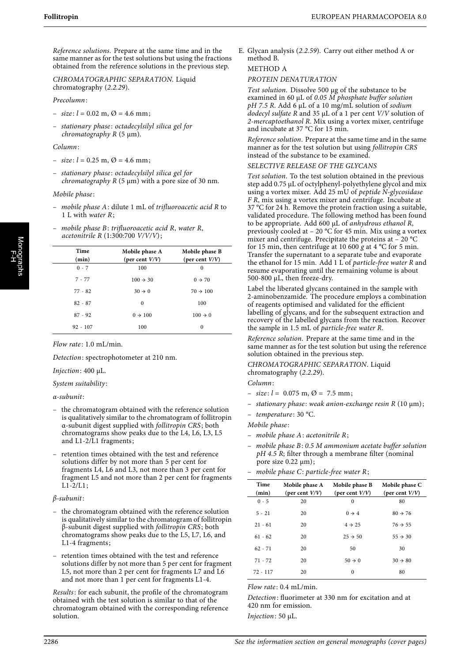Reference solutions. Prepare at the same time and in the same manner as for the test solutions but using the fractions obtained from the reference solutions in the previous step.

CHROMATOGRAPHIC SEPARATION. Liquid chromatography (2.2.29).

Precolumn:

- $-$  size;  $l = 0.02$  m,  $\varnothing = 4.6$  mm;
- stationary phase : octadecylsilyl silica gel for  $chromatography R (5  $\mu$ m).$

Column:

- $-$  size;  $l = 0.25$  m,  $\varnothing = 4.6$  mm;
- stationary phase : octadecylsilyl silica gel for chromatography  $R$  (5  $\mu$ m) with a pore size of 30 nm.

Mobile phase :

- mobile phase A: dilute 1 mL of trifluoroacetic acid R to 1 L with water R;
- mobile phase  $B$ : trifluoroacetic acid  $R$ , water  $R$ , acetonitrile  $R(1:300:700 V/V/V);$

| Time<br>(min) | Mobile phase A<br>(per cent $V/V$ ) | Mobile phase B<br>(per cent $V/V$ ) |
|---------------|-------------------------------------|-------------------------------------|
| $0 - 7$       | 100                                 | 0                                   |
| $7 - 77$      | $100 \div 30$                       | $0 \rightarrow 70$                  |
| $77 - 82$     | $30 \rightarrow 0$                  | $70 \div 100$                       |
| $82 - 87$     | $\Omega$                            | 100                                 |
| $87 - 92$     | $0 \rightarrow 100$                 | $100 \rightarrow 0$                 |
| $92 - 107$    | 100                                 | $\theta$                            |
|               |                                     |                                     |

Flow rate: 1.0 mL/min.

Detection: spectrophotometer at 210 nm.

## Injection: 400 µL.

System suitability:

α-subunit:

- the chromatogram obtained with the reference solution is qualitatively similar to the chromatogram of follitropin α-subunit digest supplied with follitropin CRS; both chromatograms show peaks due to the L4, L6, L3, L5 and L1-2/L1 fragments;
- retention times obtained with the test and reference solutions differ by not more than 5 per cent for fragments L4, L6 and L3, not more than 3 per cent for fragment L5 and not more than 2 per cent for fragments  $L1 - 2/L1$ ;

#### β-subunit:

- the chromatogram obtained with the reference solution is qualitatively similar to the chromatogram of follitropin β-subunit digest supplied with follitropin CRS; both chromatograms show peaks due to the L5, L7, L6, and L1-4 fragments;
- retention times obtained with the test and reference solutions differ by not more than 5 per cent for fragment L5, not more than 2 per cent for fragments L7 and L6 and not more than 1 per cent for fragments L1-4.

Results: for each subunit, the profile of the chromatogram obtained with the test solution is similar to that of the chromatogram obtained with the corresponding reference solution.

E. Glycan analysis (2.2.59). Carry out either method A or method B.

## METHOD A

#### PROTEIN DENATURATION

Test solution. Dissolve 500 µg of the substance to be examined in 60  $\mu$ L of 0.05  $\dot{M}$  phosphate buffer solution  $pH$  7.5 R. Add 6 µL of a 10 mg/mL solution of sodium dodecyl sulfate R and 35  $\mu$ L of a 1 per cent V/V solution of 2-mercaptoethanol R. Mix using a vortex mixer, centrifuge and incubate at 37 °C for 15 min.

Reference solution. Prepare at the same time and in the same manner as for the test solution but using follitropin CRS instead of the substance to be examined.

SELECTIVE RELEASE OF THE GLYCANS

Test solution. To the test solution obtained in the previous step add 0.75 µL of octylphenyl-polyethylene glycol and mix using a vortex mixer. Add 25 mU of peptide N-glycosidase F R, mix using a vortex mixer and centrifuge. Incubate at 37 °C for 24 h. Remove the protein fraction using a suitable, validated procedure. The following method has been found to be appropriate. Add 600  $\mu$ L of anhydrous ethanol R, previously cooled at  $-20$  °C for 45 min. Mix using a vortex mixer and centrifuge. Precipitate the proteins at – 20 °C for 15 min, then centrifuge at 10 600 g at 4  $^{\circ}$ C for 5 min. Transfer the supernatant to a separate tube and evaporate the ethanol for 15 min. Add 1 L of particle-free water R and resume evaporating until the remaining volume is about 500-800 µL, then freeze-dry.

Label the liberated glycans contained in the sample with 2-aminobenzamide. The procedure employs a combination of reagents optimised and validated for the efficient labelling of glycans, and for the subsequent extraction and recovery of the labelled glycans from the reaction. Recover the sample in 1.5 mL of particle-free water R.

Reference solution. Prepare at the same time and in the same manner as for the test solution but using the reference solution obtained in the previous step.

CHROMATOGRAPHIC SEPARATION. Liquid chromatography (2.2.29).

- Column:
- $-$  size:  $l = 0.075$  m,  $\varnothing = 7.5$  mm;
- $-$  stationary phase: weak anion-exchange resin R (10  $\mu$ m);
- temperature: 30 °C.
- Mobile phase :
- mobile phase A: acetonitrile R;
- mobile phase B: 0.5 M ammonium acetate buffer solution  $pH$  4.5 R; filter through a membrane filter (nominal pore size 0.22 µm);
- mobile phase C: particle-free water R;

| Time<br>(min) | Mobile phase A<br>(per cent $V/V$ ) | Mobile phase B<br>(per cent $V/V$ ) | Mobile phase C<br>(per cent $V/V$ ) |
|---------------|-------------------------------------|-------------------------------------|-------------------------------------|
| $0 - 5$       | 20                                  | $\Omega$                            | 80                                  |
| $5 - 21$      | 20                                  | $0 \rightarrow 4$                   | $80 \rightarrow 76$                 |
| $21 - 61$     | 20                                  | $4 \rightarrow 25$                  | $76 \rightarrow 55$                 |
| $61 - 62$     | 20                                  | $25 \rightarrow 50$                 | $55 \rightarrow 30$                 |
| $62 - 71$     | 20                                  | 50                                  | 30                                  |
| $71 - 72$     | 20                                  | $50 \rightarrow 0$                  | $30 \rightarrow 80$                 |
| $72 - 117$    | 20                                  | $\Omega$                            | 80                                  |

Flow rate:  $0.4$  mL/min.

Detection: fluorimeter at 330 nm for excitation and at 420 nm for emission.

Injection: 50 µL.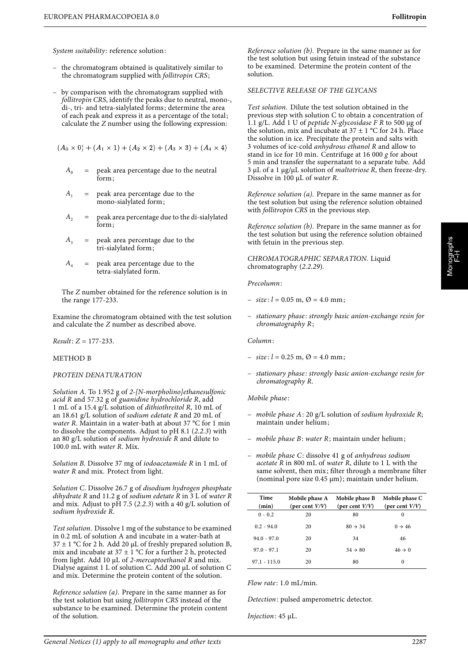System suitability: reference solution:

- the chromatogram obtained is qualitatively similar to the chromatogram supplied with follitropin CRS;
- by comparison with the chromatogram supplied with follitropin CRS, identify the peaks due to neutral, mono-, di-, tri- and tetra-sialylated forms; determine the area of each peak and express it as a percentage of the total; calculate the Z number using the following expression:

 $(A_0 \times 0) + (A_1 \times 1) + (A_2 \times 2) + (A_3 \times 3) + (A_4 \times 4)$ 

- $A_0$  = peak area percentage due to the neutral form;
- $A_1$  = peak area percentage due to the mono-sialylated form;
- $A_2$  = peak area percentage due to the di-sialylated form;
- $A_3$  = peak area percentage due to the tri-sialylated form;
- $A_4$  = peak area percentage due to the tetra-sialylated form.

The Z number obtained for the reference solution is in the range 177-233.

Examine the chromatogram obtained with the test solution and calculate the Z number as described above.

 $Result: Z = 177-233.$ 

METHOD B

#### PROTEIN DENATURATION

Solution A. To 1.952 g of 2-[N-morpholino]ethanesulfonic acid R and 57.32 g of guanidine hydrochloride R, add 1 mL of a 15.4 g/L solution of dithiothreitol R, 10 mL of an 18.61 g/L solution of sodium edetate R and 20 mL of water R. Maintain in a water-bath at about 37 °C for 1 min to dissolve the components. Adjust to pH 8.1 (2.2.3) with an 80 g/L solution of sodium hydroxide R and dilute to 100.0 mL with water R. Mix.

Solution B. Dissolve 37 mg of iodoacetamide R in 1 mL of water R and mix. Protect from light.

Solution C. Dissolve 26.7 g of disodium hydrogen phosphate dihydrate R and  $11.2$  g of sodium edetate  $\overline{R}$  in  $\overline{3}$  L of water  $\overline{R}$ and mix. Adjust to pH 7.5 (2.2.3) with a 40 g/L solution of sodium hydroxide R.

Test solution. Dissolve 1 mg of the substance to be examined in 0.2 mL of solution A and incubate in a water-bath at  $37 \pm 1$  °C for 2 h. Add 20 µL of freshly prepared solution B, mix and incubate at  $37 \pm 1$  °C for a further 2 h, protected from light. Add 10  $\mu$ L of 2-mercaptoethanol R and mix. Dialyse against 1 L of solution C. Add 200 µL of solution C and mix. Determine the protein content of the solution.

Reference solution (a). Prepare in the same manner as for the test solution but using follitropin CRS instead of the substance to be examined. Determine the protein content of the solution.

Reference solution (b). Prepare in the same manner as for the test solution but using fetuin instead of the substance to be examined. Determine the protein content of the solution.

#### SELECTIVE RELEASE OF THE GLYCANS

Test solution. Dilute the test solution obtained in the previous step with solution C to obtain a concentration of 1.1 g/L. Add 1 U of peptide N-glycosidase  $F R$  to 500 µg of the solution, mix and incubate at  $37 \pm 1$  °C for 24 h. Place the solution in ice. Precipitate the protein and salts with 3 volumes of ice-cold anhydrous ethanol R and allow to stand in ice for 10 min. Centrifuge at 16 000  $g$  for about 5 min and transfer the supernatant to a separate tube. Add  $3 \mu L$  of a 1  $\mu$ g/ $\mu$ L solution of *maltotriose R*, then freeze-dry. Dissolve in 100 µL of *water R*.

Reference solution (a). Prepare in the same manner as for the test solution but using the reference solution obtained with follitropin CRS in the previous step.

Reference solution (b). Prepare in the same manner as for the test solution but using the reference solution obtained with fetuin in the previous step.

CHROMATOGRAPHIC SEPARATION. Liquid chromatography (2.2.29).

Precolumn:

 $-$  size:  $l = 0.05$  m,  $\varnothing = 4.0$  mm;

– stationary phase : strongly basic anion-exchange resin for chromatography R;

Column:

- $-$  size:  $l = 0.25$  m,  $\varnothing = 4.0$  mm;
- stationary phase : strongly basic anion-exchange resin for chromatography R.

Mobile phase :

- mobile phase  $A: 20$  g/L solution of sodium hydroxide R; maintain under helium;
- mobile phase B: water R; maintain under helium;
- mobile phase C: dissolve 41 g of anhydrous sodium acetate  $\overline{R}$  in 800 mL of water  $\overline{R}$ , dilute to 1 L with the same solvent, then mix; filter through a membrane filter (nominal pore size 0.45 µm); maintain under helium.

| Time<br>(min)  | Mobile phase A<br>(per cent $V/V$ ) | Mobile phase B<br>(per cent $V/V$ ) | Mobile phase C<br>(per cent $V/V$ ) |
|----------------|-------------------------------------|-------------------------------------|-------------------------------------|
| $0 - 0.2$      | 20                                  | 80                                  | $\Omega$                            |
| $0.2 - 94.0$   | 20                                  | $80 \rightarrow 34$                 | $0 \rightarrow 46$                  |
| $94.0 - 97.0$  | 20                                  | 34                                  | 46                                  |
| $97.0 - 97.1$  | 20                                  | $34 \rightarrow 80$                 | $46 \rightarrow 0$                  |
| $97.1 - 115.0$ | 20                                  | 80                                  | $\Omega$                            |

 $Flow\ rate$ : 1.0 mL/min.

Detection: pulsed amperometric detector.

Injection: 45 µL.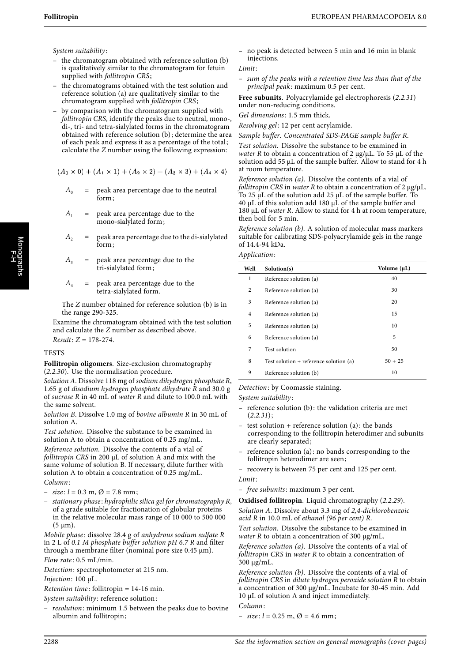System suitability:

- the chromatogram obtained with reference solution (b) is qualitatively similar to the chromatogram for fetuin supplied with *follitropin CRS*;
- the chromatograms obtained with the test solution and reference solution (a) are qualitatively similar to the chromatogram supplied with follitropin CRS;
- by comparison with the chromatogram supplied with follitropin CRS, identify the peaks due to neutral, monodi-, tri- and tetra-sialylated forms in the chromatogram obtained with reference solution (b); determine the area of each peak and express it as a percentage of the total; calculate the Z number using the following expression:

$$
(A_0 \times 0) + (A_1 \times 1) + (A_2 \times 2) + (A_3 \times 3) + (A_4 \times 4)
$$

- $A_0$  = peak area percentage due to the neutral form;
- $A_1$  = peak area percentage due to the mono-sialylated form;
- $A_2$  = peak area percentage due to the di-sialylated form;
- $A_3$  = peak area percentage due to the tri-sialylated form;
- $A_4$  = peak area percentage due to the tetra-sialylated form.

The Z number obtained for reference solution (b) is in the range 290-325.

Examine the chromatogram obtained with the test solution and calculate the Z number as described above.  $Result: Z = 178-274.$ 

## **TESTS**

**Follitropin oligomers**. Size-exclusion chromatography (2.2.30). Use the normalisation procedure.

Solution A. Dissolve 118 mg of sodium dihydrogen phosphate R, 1.65 g of disodium hydrogen phosphate dihydrate R and 30.0 g of sucrose R in 40 mL of water R and dilute to 100.0 mL with the same solvent.

Solution B. Dissolve 1.0 mg of bovine albumin R in 30 mL of solution A.

Test solution. Dissolve the substance to be examined in solution A to obtain a concentration of 0.25 mg/mL. Reference solution. Dissolve the contents of a vial of follitropin CRS in 200 µL of solution A and mix with the same volume of solution B. If necessary, dilute further with solution A to obtain a concentration of 0.25 mg/mL. Column:

- $-$  size:  $l = 0.3$  m,  $\varnothing = 7.8$  mm;
- stationary phase : hydrophilic silica gel for chromatography R, of a grade suitable for fractionation of globular proteins in the relative molecular mass range of 10 000 to 500 000  $(5 \mu m)$ .

Mobile phase: dissolve 28.4 g of anhydrous sodium sulfate R in 2 L of 0.1 M phosphate buffer solution pH 6.7 R and filter through a membrane filter (nominal pore size 0.45 µm). Flow rate: 0.5 mL/min.

Detection: spectrophotometer at 215 nm.

Injection: 100 µL.

 $Retention time: following in = 14-16 min.$ 

System suitability: reference solution:

resolution: minimum 1.5 between the peaks due to bovine albumin and follitropin;

– no peak is detected between 5 min and 16 min in blank injections.

#### Limit:

sum of the peaks with a retention time less than that of the principal peak: maximum 0.5 per cent.

**Free subunits**. Polyacrylamide gel electrophoresis (2.2.31) under non-reducing conditions.

Gel dimensions: 1.5 mm thick.

Resolving gel: 12 per cent acrylamide.

Sample buffer. Concentrated SDS-PAGE sample buffer R.

Test solution. Dissolve the substance to be examined in water R to obtain a concentration of 2  $\mu$ g/ $\mu$ L. To 55  $\mu$ L of the solution add 55 µL of the sample buffer. Allow to stand for 4 h at room temperature.

Reference solution (a). Dissolve the contents of a vial of follitropin CRS in water R to obtain a concentration of 2  $\mu$ g/ $\mu$ L. To 25 µL of the solution add 25 µL of the sample buffer. To  $40 \mu L$  of this solution add 180  $\mu L$  of the sample buffer and 180 µL of water R. Allow to stand for 4 h at room temperature, then boil for 5 min.

Reference solution (b). A solution of molecular mass markers suitable for calibrating SDS-polyacrylamide gels in the range of 14.4-94 kDa.

Application:

| Well           | Solution(s)                            | Volume $(\mu L)$ |
|----------------|----------------------------------------|------------------|
| 1              | Reference solution (a)                 | 40               |
| 2              | Reference solution (a)                 | 30               |
| 3              | Reference solution (a)                 | 20               |
| $\overline{4}$ | Reference solution (a)                 | 15               |
| 5              | Reference solution (a)                 | 10               |
| 6              | Reference solution (a)                 | 5                |
| 7              | Test solution                          | 50               |
| 8              | Test solution + reference solution (a) | $50 + 25$        |
| 9              | Reference solution (b)                 | 10               |

Detection: by Coomassie staining.

System suitability:

- reference solution (b): the validation criteria are met  $(2.2.31);$
- test solution + reference solution  $(a)$ : the bands corresponding to the follitropin heterodimer and subunits are clearly separated;
- reference solution (a): no bands corresponding to the follitropin heterodimer are seen;

– recovery is between 75 per cent and 125 per cent. Limit:

– free subunits: maximum 3 per cent.

**Oxidised follitropin**. Liquid chromatography (2.2.29).

Solution A. Dissolve about 3.3 mg of 2,4-dichlorobenzoic acid R in 10.0 mL of ethanol (96 per cent) R.

Test solution. Dissolve the substance to be examined in water R to obtain a concentration of 300  $\mu$ g/mL.

Reference solution (a). Dissolve the contents of a vial of follitropin CRS in water R to obtain a concentration of 300 µg/mL.

Reference solution (b). Dissolve the contents of a vial of follitropin CRS in dilute hydrogen peroxide solution R to obtain a concentration of 300 µg/mL. Incubate for 30-45 min. Add 10 µL of solution A and inject immediately.

Column:

 $-$  size:  $l = 0.25$  m,  $\varnothing = 4.6$  mm;